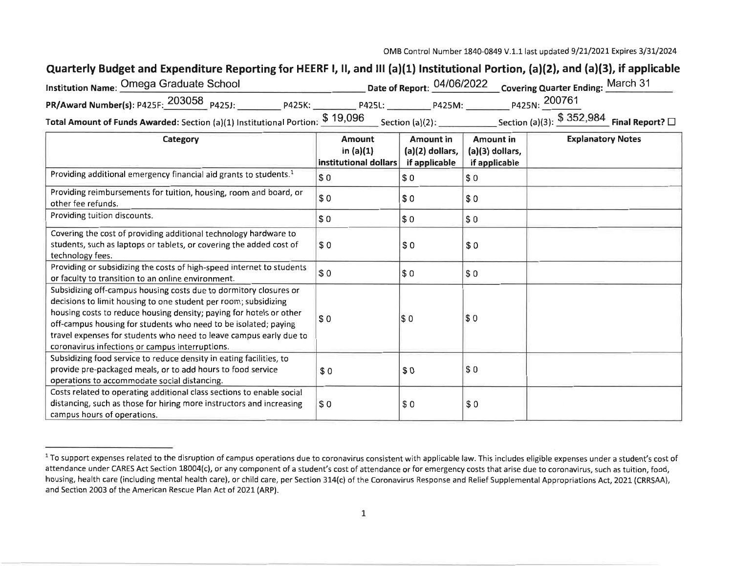## Quarterly Budget and Expenditure Reporting for HEERF I, II, and III (a)(1) Institutional Portion, (a)(2), and (a)(3), if applicable

| 'nstitution Name: Omega Graduate School                                       |        |                    |        | Date of Report: 04/06/2022 Covering Quarter Ending: March 31 |  |
|-------------------------------------------------------------------------------|--------|--------------------|--------|--------------------------------------------------------------|--|
| PR/Award Number(s): P425F: 203058 P425J:                                      | P425K: | <b>P425L:</b>      | P425M: | P425N: 200761                                                |  |
| Total Amount of Funds Awarded: Section (a)(1) Institutional Portion: \$19,096 |        | Section $(a)(2)$ : |        | Section (a)(3): $$352,984$ Final Report? $\Box$              |  |

| Category                                                                                                                                                                                                                                                                                                                                                                                                | Amount<br>in $(a)(1)$<br>institutional dollars | <b>Amount in</b><br>$(a)(2)$ dollars,<br>if applicable | <b>Amount in</b><br>$(a)(3)$ dollars,<br>if applicable | <b>Explanatory Notes</b> |
|---------------------------------------------------------------------------------------------------------------------------------------------------------------------------------------------------------------------------------------------------------------------------------------------------------------------------------------------------------------------------------------------------------|------------------------------------------------|--------------------------------------------------------|--------------------------------------------------------|--------------------------|
| Providing additional emergency financial aid grants to students. <sup>1</sup>                                                                                                                                                                                                                                                                                                                           | I\$ 0                                          | \$0                                                    | \$0                                                    |                          |
| Providing reimbursements for tuition, housing, room and board, or<br>other fee refunds.                                                                                                                                                                                                                                                                                                                 | \$0                                            | \$0                                                    | \$0                                                    |                          |
| Providing tuition discounts.                                                                                                                                                                                                                                                                                                                                                                            | <b>SO</b>                                      | \$0                                                    | \$0                                                    |                          |
| Covering the cost of providing additional technology hardware to<br>students, such as laptops or tablets, or covering the added cost of<br>technology fees.                                                                                                                                                                                                                                             | \$0                                            | \$0                                                    | \$0                                                    |                          |
| Providing or subsidizing the costs of high-speed internet to students<br>or faculty to transition to an online environment.                                                                                                                                                                                                                                                                             | \$ 0                                           | \$0                                                    | \$0                                                    |                          |
| Subsidizing off-campus housing costs due to dormitory closures or<br>decisions to limit housing to one student per room; subsidizing<br>housing costs to reduce housing density; paying for hotels or other<br>off-campus housing for students who need to be isolated; paying<br>travel expenses for students who need to leave campus early due to<br>coronavirus infections or campus interruptions. | \$0                                            | I\$ 0                                                  | \$0                                                    |                          |
| Subsidizing food service to reduce density in eating facilities, to<br>provide pre-packaged meals, or to add hours to food service<br>operations to accommodate social distancing.                                                                                                                                                                                                                      | \$0                                            | \$0                                                    | \$0                                                    |                          |
| Costs related to operating additional class sections to enable social<br>distancing, such as those for hiring more instructors and increasing<br>campus hours of operations.                                                                                                                                                                                                                            | \$0                                            | \$0                                                    | \$0                                                    |                          |

<sup>&</sup>lt;sup>1</sup> To support expenses related to the disruption of campus operations due to coronavirus consistent with applicable law. This includes eligible expenses under a student's cost of attendance under CARES Act Section 18004(c), or any component of a student's cost of attendance or for emergency costs that arise due to coronavirus, such as tuition, food, housing, health care (including mental health care), or child care, per Section 314(c) of the Coronavirus Response and Relief Supplemental Appropriations Act, 2021 (CRRSAA), and Section 2003 of the American Rescue Plan Act of 2021 (ARP).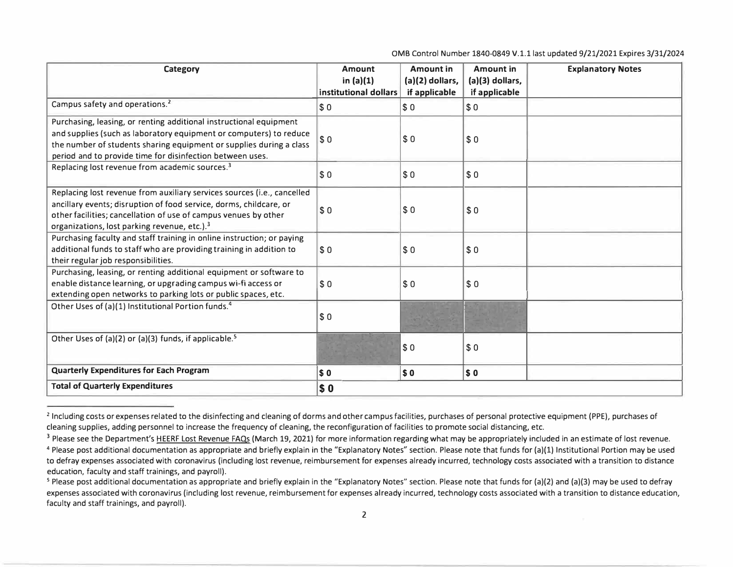0MB Control Number 1840-0849 V.1.1 last updated 9/21/2021 Expires 3/31/2024

| <b>Category</b>                                                                                                                                                                                                                                                              | <b>Amount</b>                        | <b>Amount in</b>                   | <b>Amount in</b>                 | <b>Explanatory Notes</b> |
|------------------------------------------------------------------------------------------------------------------------------------------------------------------------------------------------------------------------------------------------------------------------------|--------------------------------------|------------------------------------|----------------------------------|--------------------------|
|                                                                                                                                                                                                                                                                              | in $(a)(1)$<br>institutional dollars | $(a)(2)$ dollars,<br>if applicable | (a)(3) dollars,<br>if applicable |                          |
| Campus safety and operations. <sup>2</sup>                                                                                                                                                                                                                                   | $\sqrt{50}$                          | \$0                                | \$0                              |                          |
| Purchasing, leasing, or renting additional instructional equipment<br>and supplies (such as laboratory equipment or computers) to reduce<br>the number of students sharing equipment or supplies during a class<br>period and to provide time for disinfection between uses. | \$0                                  | \$0                                | \$0                              |                          |
| Replacing lost revenue from academic sources. <sup>3</sup>                                                                                                                                                                                                                   | \$0                                  | \$0                                | \$0                              |                          |
| Replacing lost revenue from auxiliary services sources (i.e., cancelled<br>ancillary events; disruption of food service, dorms, childcare, or<br>other facilities; cancellation of use of campus venues by other<br>organizations, lost parking revenue, etc.). <sup>3</sup> | \$0                                  | \$0                                | \$0                              |                          |
| Purchasing faculty and staff training in online instruction; or paying<br>additional funds to staff who are providing training in addition to<br>their regular job responsibilities.                                                                                         | \$0                                  | \$0                                | \$0                              |                          |
| Purchasing, leasing, or renting additional equipment or software to<br>enable distance learning, or upgrading campus wi-fi access or<br>extending open networks to parking lots or public spaces, etc.                                                                       | \$0                                  | \$0                                | \$0                              |                          |
| Other Uses of (a)(1) Institutional Portion funds. <sup>4</sup>                                                                                                                                                                                                               | \$0                                  |                                    |                                  |                          |
| Other Uses of (a)(2) or (a)(3) funds, if applicable. <sup>5</sup>                                                                                                                                                                                                            |                                      | \$0                                | \$0                              |                          |
| <b>Quarterly Expenditures for Each Program</b>                                                                                                                                                                                                                               | s <sub>0</sub>                       | \$0                                | $\sqrt{50}$                      |                          |
| <b>Total of Quarterly Expenditures</b>                                                                                                                                                                                                                                       | \$0                                  |                                    |                                  |                          |

<sup>&</sup>lt;sup>2</sup> Including costs or expenses related to the disinfecting and cleaning of dorms and other campus facilities, purchases of personal protective equipment (PPE), purchases of cleaning supplies, adding personnel to increase the frequency of cleaning, the reconfiguration of facilities to promote social distancing, etc.

<sup>&</sup>lt;sup>3</sup> Please see the Department's HEERF Lost Revenue FAQs (March 19, 2021) for more information regarding what may be appropriately included in an estimate of lost revenue.

<sup>&</sup>lt;sup>4</sup> Please post additional documentation as appropriate and briefly explain in the "Explanatory Notes" section. Please note that funds for (a)(1) Institutional Portion may be used to defray expenses associated with coronavirus (including lost revenue, reimbursement for expenses already incurred, technology costs associated with a transition to distance education, faculty and staff trainings, and payroll).

<sup>&</sup>lt;sup>5</sup> Please post additional documentation as appropriate and briefly explain in the "Explanatory Notes" section. Please note that funds for (a)(2) and (a)(3) may be used to defray expenses associated with coronavirus (including lost revenue, reimbursement for expenses already incurred, technology costs associated with a transition to distance education, faculty and staff trainings, and payroll).